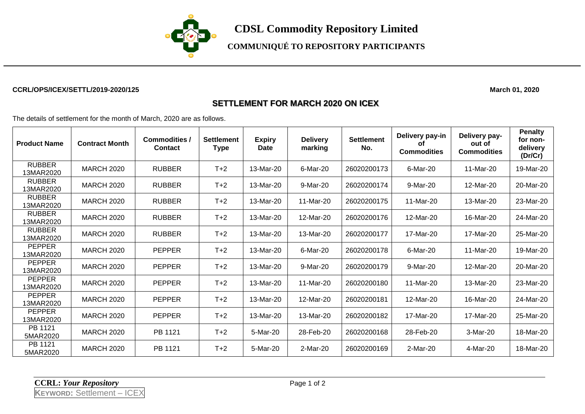

**COMMUNIQUÉ TO REPOSITORY PARTICIPANTS**

## **CCRL/OPS/ICEX/SETTL/2019-2020/125 March 01, 2020**

## **SETTLEMENT FOR MARCH 2020 ON ICEX**

The details of settlement for the month of March, 2020 are as follows.

| <b>Product Name</b>        | <b>Contract Month</b> | <b>Commodities /</b><br><b>Contact</b> | <b>Settlement</b><br><b>Type</b> | <b>Expiry</b><br>Date | <b>Delivery</b><br>marking | <b>Settlement</b><br>No. | Delivery pay-in<br>οf<br><b>Commodities</b> | Delivery pay-<br>out of<br><b>Commodities</b> | <b>Penalty</b><br>for non-<br>delivery<br>(Dr/Cr) |
|----------------------------|-----------------------|----------------------------------------|----------------------------------|-----------------------|----------------------------|--------------------------|---------------------------------------------|-----------------------------------------------|---------------------------------------------------|
| <b>RUBBER</b><br>13MAR2020 | <b>MARCH 2020</b>     | <b>RUBBER</b>                          | $T+2$                            | 13-Mar-20             | 6-Mar-20                   | 26020200173              | 6-Mar-20                                    | 11-Mar-20                                     | 19-Mar-20                                         |
| <b>RUBBER</b><br>13MAR2020 | <b>MARCH 2020</b>     | <b>RUBBER</b>                          | $T+2$                            | 13-Mar-20             | 9-Mar-20                   | 26020200174              | 9-Mar-20                                    | 12-Mar-20                                     | 20-Mar-20                                         |
| <b>RUBBER</b><br>13MAR2020 | <b>MARCH 2020</b>     | <b>RUBBER</b>                          | $T+2$                            | 13-Mar-20             | 11-Mar-20                  | 26020200175              | 11-Mar-20                                   | 13-Mar-20                                     | 23-Mar-20                                         |
| <b>RUBBER</b><br>13MAR2020 | <b>MARCH 2020</b>     | <b>RUBBER</b>                          | $T+2$                            | 13-Mar-20             | 12-Mar-20                  | 26020200176              | 12-Mar-20                                   | 16-Mar-20                                     | 24-Mar-20                                         |
| <b>RUBBER</b><br>13MAR2020 | <b>MARCH 2020</b>     | <b>RUBBER</b>                          | $T+2$                            | 13-Mar-20             | 13-Mar-20                  | 26020200177              | 17-Mar-20                                   | 17-Mar-20                                     | 25-Mar-20                                         |
| <b>PEPPER</b><br>13MAR2020 | <b>MARCH 2020</b>     | <b>PEPPER</b>                          | $T+2$                            | 13-Mar-20             | 6-Mar-20                   | 26020200178              | 6-Mar-20                                    | 11-Mar-20                                     | 19-Mar-20                                         |
| <b>PEPPER</b><br>13MAR2020 | <b>MARCH 2020</b>     | <b>PEPPER</b>                          | $T+2$                            | 13-Mar-20             | 9-Mar-20                   | 26020200179              | 9-Mar-20                                    | 12-Mar-20                                     | 20-Mar-20                                         |
| <b>PEPPER</b><br>13MAR2020 | <b>MARCH 2020</b>     | <b>PEPPER</b>                          | $T+2$                            | 13-Mar-20             | 11-Mar-20                  | 26020200180              | 11-Mar-20                                   | 13-Mar-20                                     | 23-Mar-20                                         |
| <b>PEPPER</b><br>13MAR2020 | <b>MARCH 2020</b>     | <b>PEPPER</b>                          | $T+2$                            | 13-Mar-20             | 12-Mar-20                  | 26020200181              | 12-Mar-20                                   | 16-Mar-20                                     | 24-Mar-20                                         |
| <b>PEPPER</b><br>13MAR2020 | <b>MARCH 2020</b>     | <b>PEPPER</b>                          | $T+2$                            | 13-Mar-20             | 13-Mar-20                  | 26020200182              | 17-Mar-20                                   | 17-Mar-20                                     | 25-Mar-20                                         |
| PB 1121<br>5MAR2020        | <b>MARCH 2020</b>     | PB 1121                                | $T+2$                            | 5-Mar-20              | 28-Feb-20                  | 26020200168              | 28-Feb-20                                   | 3-Mar-20                                      | 18-Mar-20                                         |
| PB 1121<br>5MAR2020        | <b>MARCH 2020</b>     | PB 1121                                | $T+2$                            | 5-Mar-20              | 2-Mar-20                   | 26020200169              | 2-Mar-20                                    | 4-Mar-20                                      | 18-Mar-20                                         |

**CCRL:** *Your Repository* Page 1 of 2